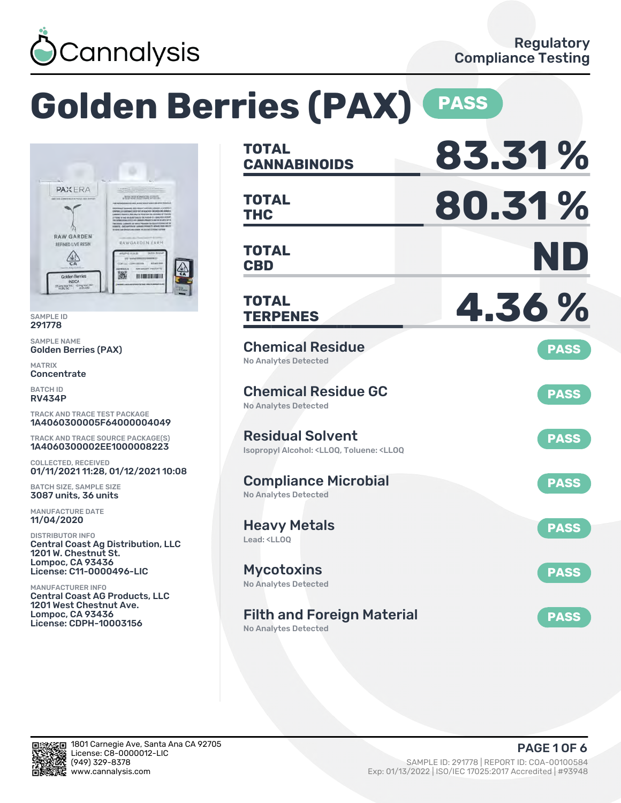

# **Golden Berries (PAX) PASS**



SAMPLE ID 291778

SAMPLE NAME Golden Berries (PAX)

MATRIX Concentrate

BATCH ID RV434P

TRACK AND TRACE TEST PACKAGE 1A4060300005F64000004049

TRACK AND TRACE SOURCE PACKAGE(S) 1A4060300002EE1000008223

COLLECTED, RECEIVED 01/11/2021 11:28, 01/12/2021 10:08

BATCH SIZE, SAMPLE SIZE 3087 units, 36 units

MANUFACTURE DATE 11/04/2020

DISTRIBUTOR INFO Central Coast Ag Distribution, LLC 1201 W. Chestnut St. Lompoc, CA 93436 License: C11-0000496-LIC

MANUFACTURER INFO Central Coast AG Products, LLC 1201 West Chestnut Ave. Lompoc, CA 93436 License: CDPH-10003156

| <b>TOTAL</b><br><b>CANNABINOIDS</b>                                                                           | 83.31%      |
|---------------------------------------------------------------------------------------------------------------|-------------|
| <b>TOTAL</b><br><b>THC</b>                                                                                    | 80.31%      |
| <b>TOTAL</b><br><b>CBD</b>                                                                                    | ND          |
| <b>TOTAL</b><br><b>TERPENES</b>                                                                               | 4.36%       |
| <b>Chemical Residue</b><br><b>No Analytes Detected</b>                                                        | <b>PASS</b> |
| <b>Chemical Residue GC</b><br><b>No Analytes Detected</b>                                                     | <b>PASS</b> |
| <b>Residual Solvent</b><br>Isopropyl Alcohol: <lloq, <lloq<="" td="" toluene:=""><td><b>PASS</b></td></lloq,> | <b>PASS</b> |
| <b>Compliance Microbial</b><br><b>No Analytes Detected</b>                                                    | <b>PASS</b> |
| <b>Heavy Metals</b><br>Lead: <ll00< td=""><td><b>PASS</b></td></ll00<>                                        | <b>PASS</b> |
| <b>Mycotoxins</b><br>No Analytes Detected                                                                     | <b>PASS</b> |
| <b>Filth and Foreign Material</b><br>No Analytes Detected                                                     | <b>PASS</b> |

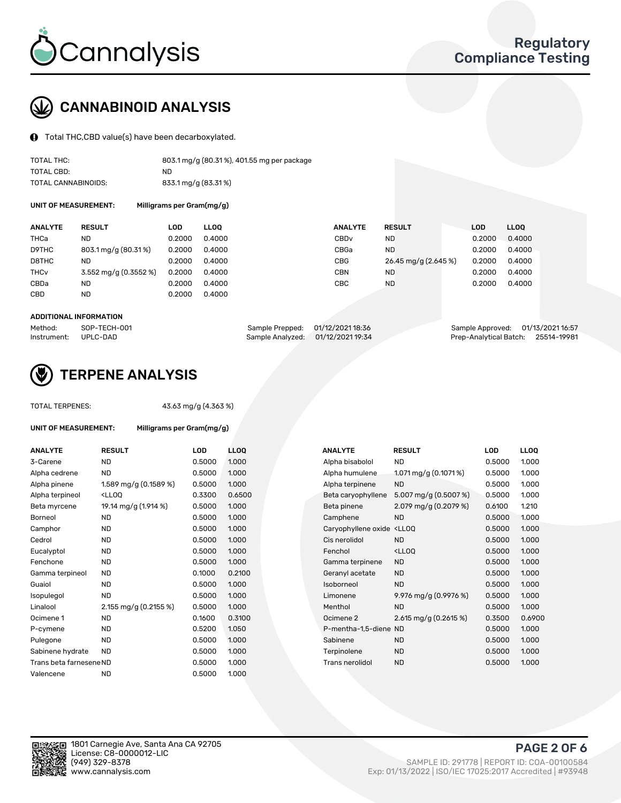

## CANNABINOID ANALYSIS

Total THC,CBD value(s) have been decarboxylated.

| TOTAL THC:          | 803.1 mg/g (80.31%), 401.55 mg per package |
|---------------------|--------------------------------------------|
| TOTAL CBD:          | ND.                                        |
| TOTAL CANNABINOIDS: | 833.1 mg/g (83.31%)                        |

UNIT OF MEASUREMENT: Milligrams per Gram(mg/g)

| <b>ANALYTE</b>         | <b>RESULT</b>         | LOD    | <b>LLOO</b> | <b>ANALYTE</b>   | <b>RESULT</b>        | LOD    | <b>LLOO</b> |
|------------------------|-----------------------|--------|-------------|------------------|----------------------|--------|-------------|
| <b>THCa</b>            | ND                    | 0.2000 | 0.4000      | CBD <sub>v</sub> | ND.                  | 0.2000 | 0.4000      |
| D9THC                  | 803.1 mg/g (80.31%)   | 0.2000 | 0.4000      | CBGa             | ND.                  | 0.2000 | 0.4000      |
| D8THC                  | ND                    | 0.2000 | 0.4000      | CBG              | 26.45 mg/g (2.645 %) | 0.2000 | 0.4000      |
| <b>THC<sub>v</sub></b> | 3.552 mg/g (0.3552 %) | 0.2000 | 0.4000      | CBN              | ND                   | 0.2000 | 0.4000      |
| CBDa                   | ND                    | 0.2000 | 0.4000      | <b>CBC</b>       | <b>ND</b>            | 0.2000 | 0.4000      |
| <b>CBD</b>             | <b>ND</b>             | 0.2000 | 0.4000      |                  |                      |        |             |

#### ADDITIONAL INFORMATION

| Method:              | SOP-TECH-001 | Sample Prepped: 01/12/2021 18:36  | Sample Approved: 01/13/2021 16:57  |  |
|----------------------|--------------|-----------------------------------|------------------------------------|--|
| Instrument: UPLC-DAD |              | Sample Analyzed: 01/12/2021 19:34 | Prep-Analytical Batch: 25514-19981 |  |



## TERPENE ANALYSIS

| <b>TOTAL TERPENES:</b>  |                       | 43.63 mg/g (4.363 %)      |             |  |  |  |  |
|-------------------------|-----------------------|---------------------------|-------------|--|--|--|--|
| UNIT OF MEASUREMENT:    |                       | Milligrams per Gram(mg/g) |             |  |  |  |  |
| <b>ANALYTE</b>          | <b>RESULT</b>         | LOD                       | <b>LLOO</b> |  |  |  |  |
| 3-Carene                | ND                    | 0.5000                    | 1.000       |  |  |  |  |
| Alpha cedrene           | <b>ND</b>             | 0.5000                    | 1.000       |  |  |  |  |
| Alpha pinene            | 1.589 mg/g (0.1589 %) | 0.5000                    | 1.000       |  |  |  |  |
| Alpha terpineol         | $<$ LL00              | 0.3300                    | 0.650       |  |  |  |  |
| Beta myrcene            | 19.14 mg/g (1.914 %)  | 0.5000                    | 1.000       |  |  |  |  |
| Borneol                 | <b>ND</b>             | 0.5000                    | 1.000       |  |  |  |  |
| Camphor                 | <b>ND</b>             | 0.5000                    | 1.000       |  |  |  |  |
| Cedrol                  | <b>ND</b>             | 0.5000                    | 1.000       |  |  |  |  |
| Eucalyptol              | <b>ND</b>             | 0.5000                    | 1.000       |  |  |  |  |
| Fenchone                | <b>ND</b>             | 0.5000                    | 1.000       |  |  |  |  |
| Gamma terpineol         | <b>ND</b>             | 0.1000                    | 0.210       |  |  |  |  |
| Guaiol                  | <b>ND</b>             | 0.5000                    | 1.000       |  |  |  |  |
| Isopulegol              | ND.                   | 0.5000                    | 1.000       |  |  |  |  |
| Linalool                | 2.155 mg/g (0.2155 %) | 0.5000                    | 1.000       |  |  |  |  |
| Ocimene 1               | <b>ND</b>             | 0.1600                    | 0.310       |  |  |  |  |
| P-cymene                | <b>ND</b>             | 0.5200                    | 1.050       |  |  |  |  |
| Pulegone                | <b>ND</b>             | 0.5000                    | 1.000       |  |  |  |  |
| Sabinene hydrate        | <b>ND</b>             | 0.5000                    | 1.000       |  |  |  |  |
| Trans beta farnesene ND |                       | 0.5000                    | 1.000       |  |  |  |  |
| Valencene               | ND.                   | 0.5000                    | 1.000       |  |  |  |  |
|                         |                       |                           |             |  |  |  |  |

| <b>ANALYTE</b>          | <b>RESULT</b>                                                                                                                             | <b>LOD</b> | <b>LLOQ</b> | <b>ANALYTE</b>                                                                  | <b>RESULT</b>                                      | <b>LOD</b> | <b>LLOQ</b> |
|-------------------------|-------------------------------------------------------------------------------------------------------------------------------------------|------------|-------------|---------------------------------------------------------------------------------|----------------------------------------------------|------------|-------------|
| 3-Carene                | <b>ND</b>                                                                                                                                 | 0.5000     | 1.000       | Alpha bisabolol                                                                 | <b>ND</b>                                          | 0.5000     | 1.000       |
| Alpha cedrene           | <b>ND</b>                                                                                                                                 | 0.5000     | 1.000       | Alpha humulene                                                                  | 1.071 mg/g (0.1071 %)                              | 0.5000     | 1.000       |
| Alpha pinene            | 1.589 mg/g (0.1589 %)                                                                                                                     | 0.5000     | 1.000       | Alpha terpinene                                                                 | <b>ND</b>                                          | 0.5000     | 1.000       |
| Alpha terpineol         | <ll0q< td=""><td>0.3300</td><td>0.6500</td><td>Beta caryophyllene</td><td>5.007 mg/g (0.5007 %)</td><td>0.5000</td><td>1.000</td></ll0q<> | 0.3300     | 0.6500      | Beta caryophyllene                                                              | 5.007 mg/g (0.5007 %)                              | 0.5000     | 1.000       |
| Beta myrcene            | 19.14 mg/g (1.914 %)                                                                                                                      | 0.5000     | 1.000       | Beta pinene                                                                     | 2.079 mg/g (0.2079 %)                              | 0.6100     | 1.210       |
| Borneol                 | ND.                                                                                                                                       | 0.5000     | 1.000       | Camphene                                                                        | <b>ND</b>                                          | 0.5000     | 1.000       |
| Camphor                 | <b>ND</b>                                                                                                                                 | 0.5000     | 1.000       | Caryophyllene oxide <lloq< td=""><td></td><td>0.5000</td><td>1.000</td></lloq<> |                                                    | 0.5000     | 1.000       |
| Cedrol                  | ND.                                                                                                                                       | 0.5000     | 1.000       | Cis nerolidol                                                                   | <b>ND</b>                                          | 0.5000     | 1.000       |
| Eucalyptol              | ND.                                                                                                                                       | 0.5000     | 1.000       | Fenchol                                                                         | <ll0q< td=""><td>0.5000</td><td>1.000</td></ll0q<> | 0.5000     | 1.000       |
| Fenchone                | <b>ND</b>                                                                                                                                 | 0.5000     | 1.000       | Gamma terpinene                                                                 | <b>ND</b>                                          | 0.5000     | 1.000       |
| Gamma terpineol         | <b>ND</b>                                                                                                                                 | 0.1000     | 0.2100      | Geranyl acetate                                                                 | <b>ND</b>                                          | 0.5000     | 1.000       |
| Guaiol                  | <b>ND</b>                                                                                                                                 | 0.5000     | 1.000       | Isoborneol                                                                      | <b>ND</b>                                          | 0.5000     | 1.000       |
| Isopulegol              | <b>ND</b>                                                                                                                                 | 0.5000     | 1.000       | Limonene                                                                        | 9.976 mg/g (0.9976 %)                              | 0.5000     | 1.000       |
| Linalool                | 2.155 mg/g (0.2155 %)                                                                                                                     | 0.5000     | 1.000       | Menthol                                                                         | <b>ND</b>                                          | 0.5000     | 1.000       |
| Ocimene 1               | ND.                                                                                                                                       | 0.1600     | 0.3100      | Ocimene 2                                                                       | 2.615 mg/g $(0.2615\%)$                            | 0.3500     | 0.6900      |
| P-cymene                | <b>ND</b>                                                                                                                                 | 0.5200     | 1.050       | P-mentha-1,5-diene ND                                                           |                                                    | 0.5000     | 1.000       |
| Pulegone                | <b>ND</b>                                                                                                                                 | 0.5000     | 1.000       | Sabinene                                                                        | <b>ND</b>                                          | 0.5000     | 1.000       |
| Sabinene hydrate        | <b>ND</b>                                                                                                                                 | 0.5000     | 1.000       | Terpinolene                                                                     | <b>ND</b>                                          | 0.5000     | 1.000       |
| Trans beta farnesene ND |                                                                                                                                           | 0.5000     | 1.000       | Trans nerolidol                                                                 | <b>ND</b>                                          | 0.5000     | 1.000       |
|                         |                                                                                                                                           |            |             |                                                                                 |                                                    |            |             |

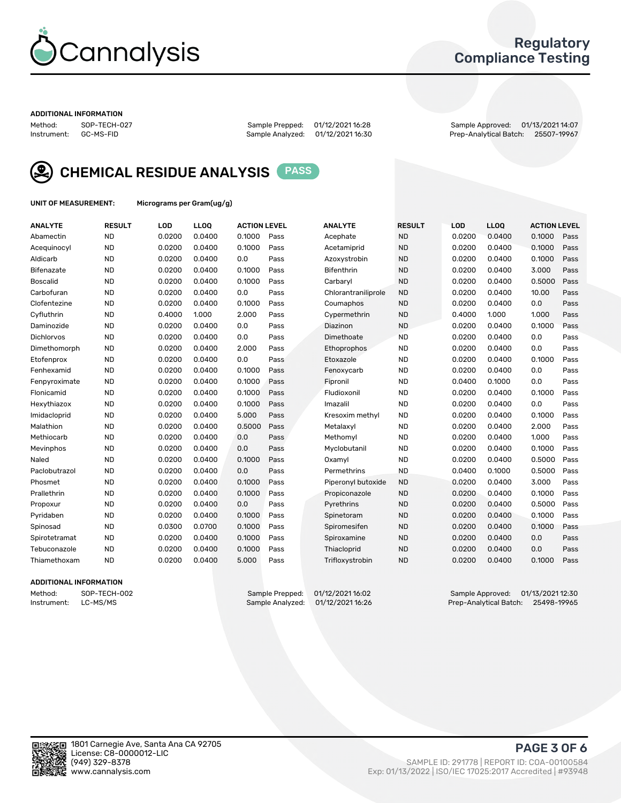

## Regulatory Compliance Testing

#### ADDITIONAL INFORMATION

Method: SOP-TECH-027 Sample Prepped: 01/12/2021 16:28 Sample Approved: 01/13/2021 14:07 Prep-Analytical Batch: 25507-19967



CHEMICAL RESIDUE ANALYSIS PASS

UNIT OF MEASUREMENT: Micrograms per Gram(ug/g)

| <b>ANALYTE</b>    | <b>RESULT</b> | LOD    | LLOQ   | <b>ACTION LEVEL</b> |      | <b>ANALYTE</b>      | <b>RESULT</b> | LOD    | <b>LLOQ</b> | <b>ACTION LEVEL</b> |      |
|-------------------|---------------|--------|--------|---------------------|------|---------------------|---------------|--------|-------------|---------------------|------|
| Abamectin         | <b>ND</b>     | 0.0200 | 0.0400 | 0.1000              | Pass | Acephate            | <b>ND</b>     | 0.0200 | 0.0400      | 0.1000              | Pass |
| Acequinocyl       | <b>ND</b>     | 0.0200 | 0.0400 | 0.1000              | Pass | Acetamiprid         | <b>ND</b>     | 0.0200 | 0.0400      | 0.1000              | Pass |
| Aldicarb          | <b>ND</b>     | 0.0200 | 0.0400 | 0.0                 | Pass | Azoxystrobin        | <b>ND</b>     | 0.0200 | 0.0400      | 0.1000              | Pass |
| Bifenazate        | <b>ND</b>     | 0.0200 | 0.0400 | 0.1000              | Pass | <b>Bifenthrin</b>   | <b>ND</b>     | 0.0200 | 0.0400      | 3.000               | Pass |
| <b>Boscalid</b>   | <b>ND</b>     | 0.0200 | 0.0400 | 0.1000              | Pass | Carbarvl            | <b>ND</b>     | 0.0200 | 0.0400      | 0.5000              | Pass |
| Carbofuran        | <b>ND</b>     | 0.0200 | 0.0400 | 0.0                 | Pass | Chlorantraniliprole | <b>ND</b>     | 0.0200 | 0.0400      | 10.00               | Pass |
| Clofentezine      | <b>ND</b>     | 0.0200 | 0.0400 | 0.1000              | Pass | Coumaphos           | <b>ND</b>     | 0.0200 | 0.0400      | 0.0                 | Pass |
| Cyfluthrin        | <b>ND</b>     | 0.4000 | 1.000  | 2.000               | Pass | Cypermethrin        | <b>ND</b>     | 0.4000 | 1.000       | 1.000               | Pass |
| Daminozide        | <b>ND</b>     | 0.0200 | 0.0400 | 0.0                 | Pass | Diazinon            | <b>ND</b>     | 0.0200 | 0.0400      | 0.1000              | Pass |
| <b>Dichlorvos</b> | <b>ND</b>     | 0.0200 | 0.0400 | 0.0                 | Pass | Dimethoate          | <b>ND</b>     | 0.0200 | 0.0400      | 0.0                 | Pass |
| Dimethomorph      | <b>ND</b>     | 0.0200 | 0.0400 | 2.000               | Pass | <b>Ethoprophos</b>  | <b>ND</b>     | 0.0200 | 0.0400      | 0.0                 | Pass |
| Etofenprox        | <b>ND</b>     | 0.0200 | 0.0400 | 0.0                 | Pass | Etoxazole           | <b>ND</b>     | 0.0200 | 0.0400      | 0.1000              | Pass |
| Fenhexamid        | <b>ND</b>     | 0.0200 | 0.0400 | 0.1000              | Pass | Fenoxycarb          | <b>ND</b>     | 0.0200 | 0.0400      | 0.0                 | Pass |
| Fenpyroximate     | <b>ND</b>     | 0.0200 | 0.0400 | 0.1000              | Pass | Fipronil            | <b>ND</b>     | 0.0400 | 0.1000      | 0.0                 | Pass |
| Flonicamid        | <b>ND</b>     | 0.0200 | 0.0400 | 0.1000              | Pass | Fludioxonil         | <b>ND</b>     | 0.0200 | 0.0400      | 0.1000              | Pass |
| Hexythiazox       | <b>ND</b>     | 0.0200 | 0.0400 | 0.1000              | Pass | Imazalil            | <b>ND</b>     | 0.0200 | 0.0400      | 0.0                 | Pass |
| Imidacloprid      | <b>ND</b>     | 0.0200 | 0.0400 | 5.000               | Pass | Kresoxim methyl     | <b>ND</b>     | 0.0200 | 0.0400      | 0.1000              | Pass |
| Malathion         | <b>ND</b>     | 0.0200 | 0.0400 | 0.5000              | Pass | Metalaxyl           | <b>ND</b>     | 0.0200 | 0.0400      | 2.000               | Pass |
| Methiocarb        | <b>ND</b>     | 0.0200 | 0.0400 | 0.0                 | Pass | Methomyl            | <b>ND</b>     | 0.0200 | 0.0400      | 1.000               | Pass |
| Mevinphos         | <b>ND</b>     | 0.0200 | 0.0400 | 0.0                 | Pass | Myclobutanil        | <b>ND</b>     | 0.0200 | 0.0400      | 0.1000              | Pass |
| Naled             | <b>ND</b>     | 0.0200 | 0.0400 | 0.1000              | Pass | Oxamyl              | <b>ND</b>     | 0.0200 | 0.0400      | 0.5000              | Pass |
| Paclobutrazol     | <b>ND</b>     | 0.0200 | 0.0400 | 0.0                 | Pass | Permethrins         | <b>ND</b>     | 0.0400 | 0.1000      | 0.5000              | Pass |
| Phosmet           | <b>ND</b>     | 0.0200 | 0.0400 | 0.1000              | Pass | Piperonyl butoxide  | <b>ND</b>     | 0.0200 | 0.0400      | 3.000               | Pass |
| Prallethrin       | <b>ND</b>     | 0.0200 | 0.0400 | 0.1000              | Pass | Propiconazole       | <b>ND</b>     | 0.0200 | 0.0400      | 0.1000              | Pass |
| Propoxur          | <b>ND</b>     | 0.0200 | 0.0400 | 0.0                 | Pass | Pyrethrins          | <b>ND</b>     | 0.0200 | 0.0400      | 0.5000              | Pass |
| Pyridaben         | <b>ND</b>     | 0.0200 | 0.0400 | 0.1000              | Pass | Spinetoram          | <b>ND</b>     | 0.0200 | 0.0400      | 0.1000              | Pass |
| Spinosad          | <b>ND</b>     | 0.0300 | 0.0700 | 0.1000              | Pass | Spiromesifen        | <b>ND</b>     | 0.0200 | 0.0400      | 0.1000              | Pass |
| Spirotetramat     | <b>ND</b>     | 0.0200 | 0.0400 | 0.1000              | Pass | Spiroxamine         | <b>ND</b>     | 0.0200 | 0.0400      | 0.0                 | Pass |
| Tebuconazole      | <b>ND</b>     | 0.0200 | 0.0400 | 0.1000              | Pass | Thiacloprid         | <b>ND</b>     | 0.0200 | 0.0400      | 0.0                 | Pass |
| Thiamethoxam      | <b>ND</b>     | 0.0200 | 0.0400 | 5.000               | Pass | Trifloxystrobin     | <b>ND</b>     | 0.0200 | 0.0400      | 0.1000              | Pass |

### ADDITIONAL INFORMATION

Method: SOP-TECH-002 Sample Prepped: 01/12/2021 16:02 Sample Approved: 01/13/2021 12:30 Prep-Analytical Batch: 25498-19965

PAGE 3 OF 6

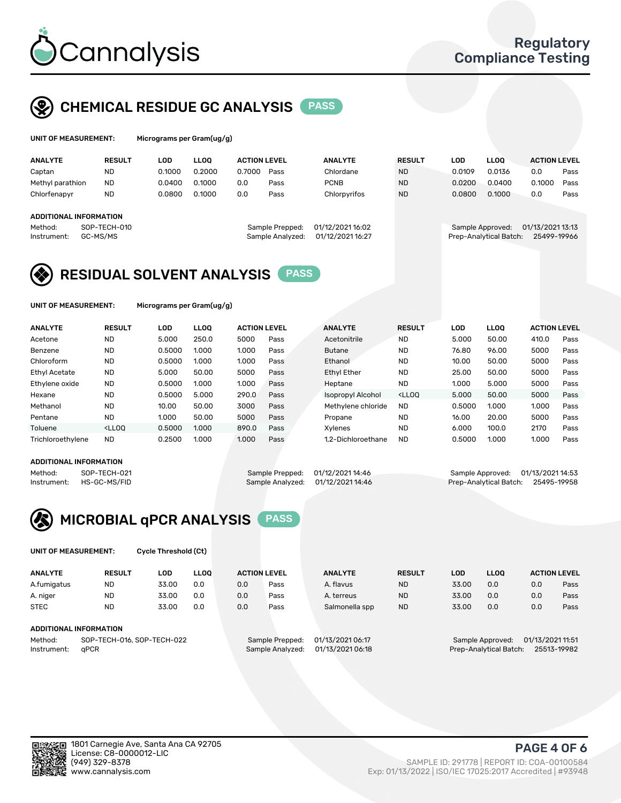

## CHEMICAL RESIDUE GC ANALYSIS PASS

| UNIT OF MEASUREMENT: | Micrograms per 0 |
|----------------------|------------------|
|                      |                  |

Gram(ug/g)

| <b>ANALYTE</b>         | <b>RESULT</b> | LOD    | <b>LLOO</b> | <b>ACTION LEVEL</b> |                  | <b>ANALYTE</b>   | <b>RESULT</b> | LOD              | <b>LLOO</b>            | <b>ACTION LEVEL</b> |      |
|------------------------|---------------|--------|-------------|---------------------|------------------|------------------|---------------|------------------|------------------------|---------------------|------|
| Captan                 | ND            | 0.1000 | 0.2000      | 0.7000              | Pass             | Chlordane        | <b>ND</b>     | 0.0109           | 0.0136                 | 0.0                 | Pass |
| Methyl parathion       | <b>ND</b>     | 0.0400 | 0.1000      | 0.0                 | Pass             | <b>PCNB</b>      | <b>ND</b>     | 0.0200           | 0.0400                 | 0.1000              | Pass |
| Chlorfenapyr           | <b>ND</b>     | 0.0800 | 0.1000      | 0.0                 | Pass             | Chlorpyrifos     | <b>ND</b>     | 0.0800           | 0.1000                 | 0.0                 | Pass |
|                        |               |        |             |                     |                  |                  |               |                  |                        |                     |      |
| ADDITIONAL INFORMATION |               |        |             |                     |                  |                  |               |                  |                        |                     |      |
| Method:                | SOP-TECH-010  |        |             |                     | Sample Prepped:  | 01/12/2021 16:02 |               | Sample Approved: |                        | 01/13/2021 13:13    |      |
| Instrument:            | GC-MS/MS      |        |             |                     | Sample Analyzed: | 01/12/2021 16:27 |               |                  | Prep-Analytical Batch: | 25499-19966         |      |

## RESIDUAL SOLVENT ANALYSIS PASS

UNIT OF MEASUREMENT: Micrograms per Gram(ug/g)

| <b>ANALYTE</b>       | <b>RESULT</b>                                                                                                                                                         | LOD    | <b>LLOO</b> | <b>ACTION LEVEL</b> |      | <b>ANALYTE</b>           | <b>RESULT</b>                                                               | LOD    | <b>LLOO</b> | <b>ACTION LEVEL</b> |      |
|----------------------|-----------------------------------------------------------------------------------------------------------------------------------------------------------------------|--------|-------------|---------------------|------|--------------------------|-----------------------------------------------------------------------------|--------|-------------|---------------------|------|
| Acetone              | <b>ND</b>                                                                                                                                                             | 5.000  | 250.0       | 5000                | Pass | Acetonitrile             | <b>ND</b>                                                                   | 5.000  | 50.00       | 410.0               | Pass |
| Benzene              | <b>ND</b>                                                                                                                                                             | 0.5000 | 1.000       | 1.000               | Pass | <b>Butane</b>            | <b>ND</b>                                                                   | 76.80  | 96.00       | 5000                | Pass |
| Chloroform           | <b>ND</b>                                                                                                                                                             | 0.5000 | 1.000       | 1.000               | Pass | Ethanol                  | <b>ND</b>                                                                   | 10.00  | 50.00       | 5000                | Pass |
| <b>Ethyl Acetate</b> | <b>ND</b>                                                                                                                                                             | 5.000  | 50.00       | 5000                | Pass | <b>Ethyl Ether</b>       | <b>ND</b>                                                                   | 25.00  | 50.00       | 5000                | Pass |
| Ethylene oxide       | <b>ND</b>                                                                                                                                                             | 0.5000 | 1.000       | 1.000               | Pass | Heptane                  | <b>ND</b>                                                                   | 1.000  | 5.000       | 5000                | Pass |
| Hexane               | <b>ND</b>                                                                                                                                                             | 0.5000 | 5.000       | 290.0               | Pass | <b>Isopropyl Alcohol</b> | <lloq< td=""><td>5.000</td><td>50.00</td><td>5000</td><td>Pass</td></lloq<> | 5.000  | 50.00       | 5000                | Pass |
| Methanol             | <b>ND</b>                                                                                                                                                             | 10.00  | 50.00       | 3000                | Pass | Methylene chloride       | <b>ND</b>                                                                   | 0.5000 | 1.000       | 1.000               | Pass |
| Pentane              | <b>ND</b>                                                                                                                                                             | 1.000  | 50.00       | 5000                | Pass | Propane                  | <b>ND</b>                                                                   | 16.00  | 20.00       | 5000                | Pass |
| Toluene              | <lloo< td=""><td>0.5000</td><td>1.000</td><td>890.0</td><td>Pass</td><td>Xvlenes</td><td><b>ND</b></td><td>6.000</td><td>100.0</td><td>2170</td><td>Pass</td></lloo<> | 0.5000 | 1.000       | 890.0               | Pass | Xvlenes                  | <b>ND</b>                                                                   | 6.000  | 100.0       | 2170                | Pass |
| Trichloroethylene    | <b>ND</b>                                                                                                                                                             | 0.2500 | 1.000       | 1.000               | Pass | 1.2-Dichloroethane       | <b>ND</b>                                                                   | 0.5000 | 1.000       | 1.000               | Pass |

#### ADDITIONAL INFORMATION

Method: SOP-TECH-021 Sample Prepped: 01/12/2021 14:46 Sample Approved: 01/13/2021 14:53<br>Instrument: HS-GC-MS/FID Sample Analyzed: 01/12/2021 14:46 Prep-Analytical Batch: 25495-19958

Prep-Analytical Batch: 25495-19958



UNIT OF MEASUREMENT: Cycle Threshold (Ct)

| <b>ANALYTE</b> | <b>RESULT</b>              | LOD   | <b>LLOO</b> |     | <b>ACTION LEVEL</b> | <b>ANALYTE</b>   | <b>RESULT</b> | <b>LOD</b> | <b>LLOO</b>            |                  | <b>ACTION LEVEL</b> |
|----------------|----------------------------|-------|-------------|-----|---------------------|------------------|---------------|------------|------------------------|------------------|---------------------|
| A.fumigatus    | <b>ND</b>                  | 33.00 | 0.0         | 0.0 | Pass                | A. flavus        | <b>ND</b>     | 33.00      | 0.0                    | 0.0              | Pass                |
| A. niger       | <b>ND</b>                  | 33.00 | 0.0         | 0.0 | Pass                | A. terreus       | <b>ND</b>     | 33.00      | 0.0                    | 0.0              | Pass                |
| <b>STEC</b>    | <b>ND</b>                  | 33.00 | 0.0         | 0.0 | Pass                | Salmonella spp   | <b>ND</b>     | 33.00      | 0.0                    | 0.0              | Pass                |
|                | ADDITIONAL INFORMATION     |       |             |     |                     |                  |               |            |                        |                  |                     |
| Method:        | SOP-TECH-016, SOP-TECH-022 |       |             |     | Sample Prepped:     | 01/13/2021 06:17 |               |            | Sample Approved:       | 01/13/2021 11:51 |                     |
| Instrument:    | aPCR                       |       |             |     | Sample Analyzed:    | 01/13/2021 06:18 |               |            | Prep-Analytical Batch: |                  | 25513-19982         |

(949) 329-8378 SAMPLE ID: 291778 | REPORT ID: COA-00100584 Exp: 01/13/2022 | ISO/IEC 17025:2017 Accredited | #93948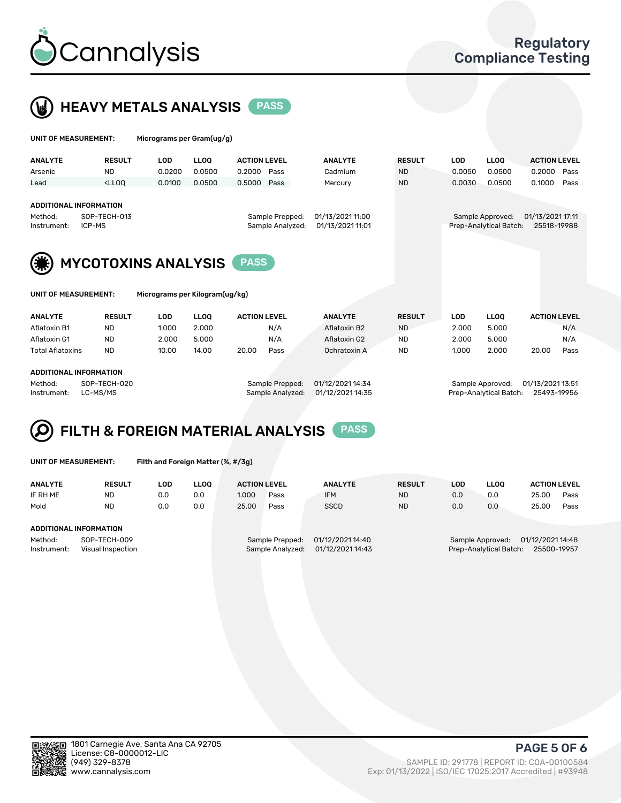

UNIT OF MEASUREMENT: Micrograms per Gram(ug/g)



| <b>ANALYTE</b>       | <b>RESULT</b>                                                                                                                                                       | <b>LOD</b>                     | LLOO   | <b>ACTION LEVEL</b> | <b>ANALYTE</b>   | <b>RESULT</b> | <b>LOD</b> | <b>LLOQ</b>            | <b>ACTION LEVEL</b> |  |  |  |  |  |
|----------------------|---------------------------------------------------------------------------------------------------------------------------------------------------------------------|--------------------------------|--------|---------------------|------------------|---------------|------------|------------------------|---------------------|--|--|--|--|--|
| Arsenic              | <b>ND</b>                                                                                                                                                           | 0.0200                         | 0.0500 | 0.2000<br>Pass      | Cadmium          | <b>ND</b>     | 0.0050     | 0.0500                 | 0.2000<br>Pass      |  |  |  |  |  |
| Lead                 | <lloo< th=""><th>0.0100</th><th>0.0500</th><th>0.5000<br/>Pass</th><th>Mercury</th><th><b>ND</b></th><th>0.0030</th><th>0.0500</th><th>0.1000<br/>Pass</th></lloo<> | 0.0100                         | 0.0500 | 0.5000<br>Pass      | Mercury          | <b>ND</b>     | 0.0030     | 0.0500                 | 0.1000<br>Pass      |  |  |  |  |  |
|                      |                                                                                                                                                                     |                                |        |                     |                  |               |            |                        |                     |  |  |  |  |  |
|                      | <b>ADDITIONAL INFORMATION</b>                                                                                                                                       |                                |        |                     |                  |               |            |                        |                     |  |  |  |  |  |
| Method:              | SOP-TECH-013                                                                                                                                                        |                                |        | Sample Prepped:     | 01/13/2021 11:00 |               |            | Sample Approved:       | 01/13/2021 17:11    |  |  |  |  |  |
| Instrument:          | ICP-MS                                                                                                                                                              |                                |        | Sample Analyzed:    | 01/13/2021 11:01 |               |            | Prep-Analytical Batch: | 25518-19988         |  |  |  |  |  |
|                      |                                                                                                                                                                     |                                |        |                     |                  |               |            |                        |                     |  |  |  |  |  |
|                      | <b>MYCOTOXINS ANALYSIS</b><br><b>PASS</b>                                                                                                                           |                                |        |                     |                  |               |            |                        |                     |  |  |  |  |  |
| UNIT OF MEASUREMENT: |                                                                                                                                                                     | Micrograms per Kilogram(ug/kg) |        |                     |                  |               |            |                        |                     |  |  |  |  |  |
| <b>ANALYTE</b>       | <b>RESULT</b>                                                                                                                                                       | <b>LOD</b>                     | LLOO   | <b>ACTION LEVEL</b> | <b>ANALYTE</b>   | <b>RESULT</b> | <b>LOD</b> | <b>LLOO</b>            | <b>ACTION LEVEL</b> |  |  |  |  |  |
| Aflatoxin B1         | <b>ND</b>                                                                                                                                                           | 1.000                          | 2.000  | N/A                 | Aflatoxin B2     | <b>ND</b>     | 2.000      | 5.000                  | N/A                 |  |  |  |  |  |

Aflatoxin G1 ND 2.000 5.000 N/A Aflatoxin G2 ND 2.000 5.000 N/A Total Aflatoxins ND 10.00 14.00 20.00 Pass Ochratoxin A ND 1.000 2.000 20.00 Pass

| ADDITIONAL INFORMATION |
|------------------------|
|                        |

Method: SOP-TECH-020 Sample Prepped: 01/12/2021 14:34 Sample Approved: 01/13/2021 13:51 Instrument: LC-MS/MS Sample Analyzed: 01/12/2021 14:35 Prep-Analytical Batch: 25493-19956

# FILTH & FOREIGN MATERIAL ANALYSIS PASS

UNIT OF MEASUREMENT: Filth and Foreign Matter (%, #/3g)

| <b>ANALYTE</b>         | <b>RESULT</b>                     | LOD | LLOO | <b>ACTION LEVEL</b> |                                     | <b>ANALYTE</b>                       | <b>RESULT</b> | LOD | <b>LLOO</b>                                | <b>ACTION LEVEL</b>             |      |
|------------------------|-----------------------------------|-----|------|---------------------|-------------------------------------|--------------------------------------|---------------|-----|--------------------------------------------|---------------------------------|------|
| IF RH ME               | <b>ND</b>                         | 0.0 | 0.0  | 1.000               | Pass                                | <b>IFM</b>                           | <b>ND</b>     | 0.0 | 0.0                                        | 25.00                           | Pass |
| Mold                   | <b>ND</b>                         | 0.0 | 0.0  | 25.00               | Pass                                | <b>SSCD</b>                          | <b>ND</b>     | 0.0 | 0.0                                        | 25.00                           | Pass |
| ADDITIONAL INFORMATION |                                   |     |      |                     |                                     |                                      |               |     |                                            |                                 |      |
| Method:<br>Instrument: | SOP-TECH-009<br>Visual Inspection |     |      |                     | Sample Prepped:<br>Sample Analyzed: | 01/12/2021 14:40<br>01/12/2021 14:43 |               |     | Sample Approved:<br>Prep-Analytical Batch: | 01/12/2021 14:48<br>25500-19957 |      |